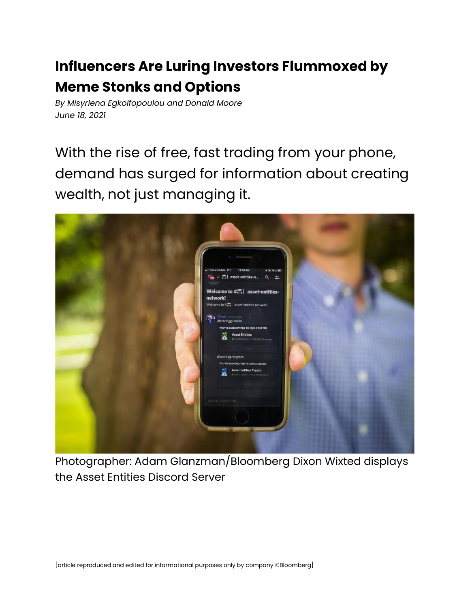## **Influencers Are Luring Investors Flummoxed by Meme Stonks and Options**

*By Misyrlena Egkolfopoulou and Donald Moore June 18, 2021*

With the rise of free, fast trading from your phone, demand has surged for information about creating wealth, not just managing it.



Photographer: Adam Glanzman/Bloomberg Dixon Wixted displays the Asset Entities Discord Server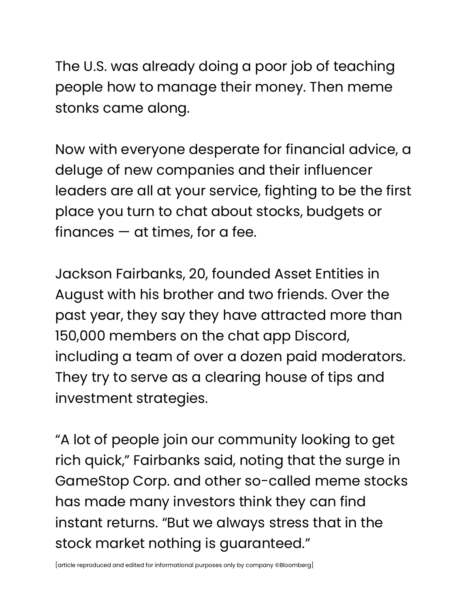The U.S. was already doing a poor job of teaching people how to manage their money. Then meme stonks came along.

Now with everyone desperate for financial advice, a deluge of new companies and their influencer leaders are all at your service, fighting to be the first place you turn to chat about stocks, budgets or finances  $-$  at times, for a fee.

Jackson Fairbanks, 20, founded Asset Entities in August with his brother and two friends. Over the past year, they say they have attracted more than 150,000 members on the chat app Discord, including a team of over a dozen paid moderators. They try to serve as a clearing house of tips and investment strategies.

"A lot of people join our community looking to get rich quick," Fairbanks said, noting that the surge in GameStop Corp. and other so-called meme stocks has made many investors think they can find instant returns. "But we always stress that in the stock market nothing is guaranteed."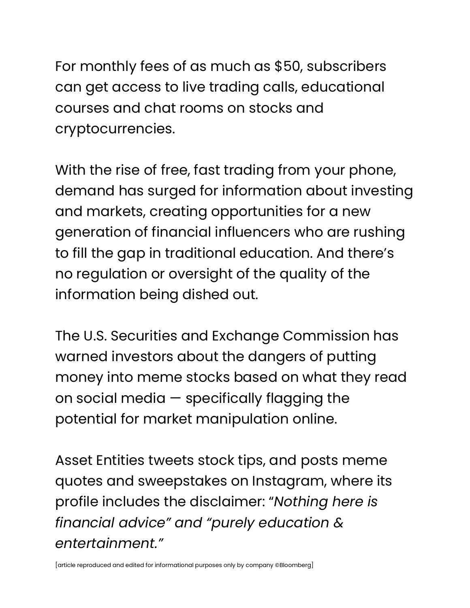For monthly fees of as much as \$50, subscribers can get access to live trading calls, educational courses and chat rooms on stocks and cryptocurrencies.

With the rise of free, fast trading from your phone, demand has surged for information about investing and markets, creating opportunities for a new generation of financial influencers who are rushing to fill the gap in traditional education. And there's no regulation or oversight of the quality of the information being dished out.

The U.S. Securities and Exchange Commission has warned investors about the dangers of putting money into meme stocks based on what they read on social media — specifically flagging the potential for market manipulation online.

Asset Entities tweets stock tips, and posts meme quotes and sweepstakes on Instagram, where its profile includes the disclaimer: "*Nothing here is financial advice" and "purely education & entertainment."*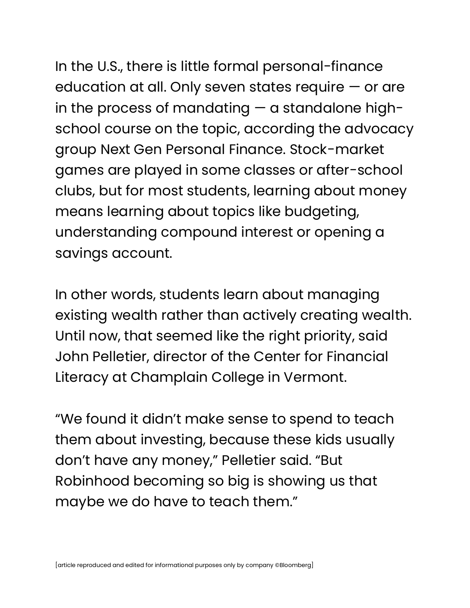## In the U.S., there is little formal personal-finance

education at all. Only seven states require — or are in the process of mandating — a standalone highschool course on the topic, according the advocacy group Next Gen Personal Finance. Stock-market games are played in some classes or after-school clubs, but for most students, learning about money means learning about topics like budgeting, understanding compound interest or opening a savings account.

In other words, students learn about managing existing wealth rather than actively creating wealth. Until now, that seemed like the right priority, said John Pelletier, director of the Center for Financial Literacy at Champlain College in Vermont.

"We found it didn't make sense to spend to teach them about investing, because these kids usually don't have any money," Pelletier said. "But Robinhood becoming so big is showing us that maybe we do have to teach them."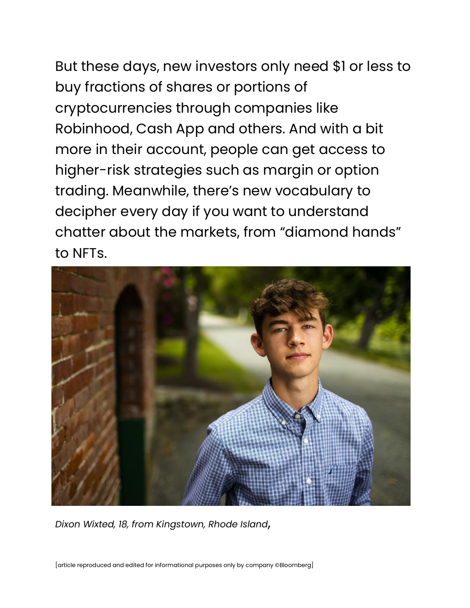But these days, new investors only need \$1 or less to buy fractions of shares or portions of cryptocurrencies through companies like Robinhood, Cash App and others. And with a bit more in their account, people can get access to higher-risk strategies such as margin or option trading. Meanwhile, there's new vocabulary to decipher every day if you want to understand chatter about the markets, from "diamond hands" to NFTs.



*Dixon Wixted, 18, from Kingstown, Rhode Island*,

[article reproduced and edited for informational purposes only by company ©Bloomberg]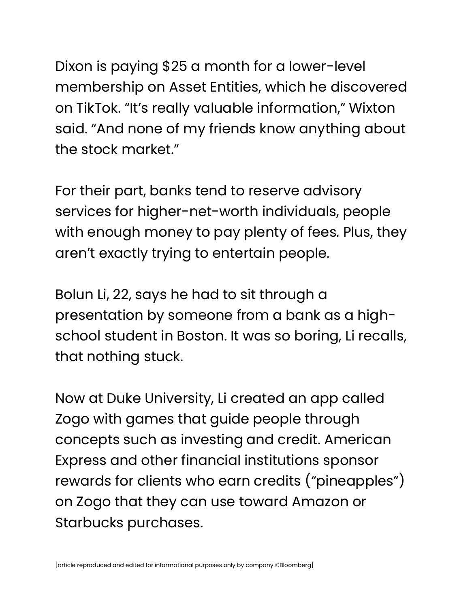Dixon is paying \$25 a month for a lower-level membership on Asset Entities, which he discovered on TikTok. "It's really valuable information," Wixton said. "And none of my friends know anything about the stock market."

For their part, banks tend to reserve advisory services for higher-net-worth individuals, people with enough money to pay plenty of fees. Plus, they aren't exactly trying to entertain people.

Bolun Li, 22, says he had to sit through a presentation by someone from a bank as a highschool student in Boston. It was so boring, Li recalls, that nothing stuck.

Now at Duke University, Li created an app called Zogo with games that guide people through concepts such as investing and credit. American Express and other financial institutions sponsor rewards for clients who earn credits ("pineapples") on Zogo that they can use toward Amazon or Starbucks purchases.